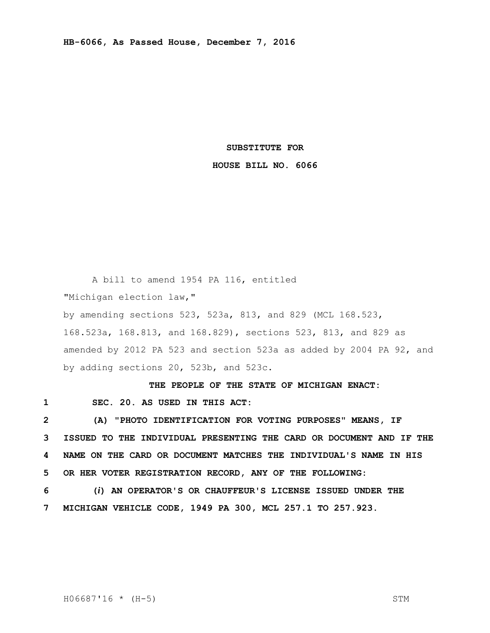## **SUBSTITUTE FOR**

## **HOUSE BILL NO. 6066**

A bill to amend 1954 PA 116, entitled "Michigan election law," by amending sections 523, 523a, 813, and 829 (MCL 168.523, 168.523a, 168.813, and 168.829), sections 523, 813, and 829 as amended by 2012 PA 523 and section 523a as added by 2004 PA 92, and by adding sections 20, 523b, and 523c.

**THE PEOPLE OF THE STATE OF MICHIGAN ENACT:**

**1 SEC. 20. AS USED IN THIS ACT:**

 **(A) "PHOTO IDENTIFICATION FOR VOTING PURPOSES" MEANS, IF ISSUED TO THE INDIVIDUAL PRESENTING THE CARD OR DOCUMENT AND IF THE NAME ON THE CARD OR DOCUMENT MATCHES THE INDIVIDUAL'S NAME IN HIS OR HER VOTER REGISTRATION RECORD, ANY OF THE FOLLOWING:**

**6 (***i***) AN OPERATOR'S OR CHAUFFEUR'S LICENSE ISSUED UNDER THE 7 MICHIGAN VEHICLE CODE, 1949 PA 300, MCL 257.1 TO 257.923.**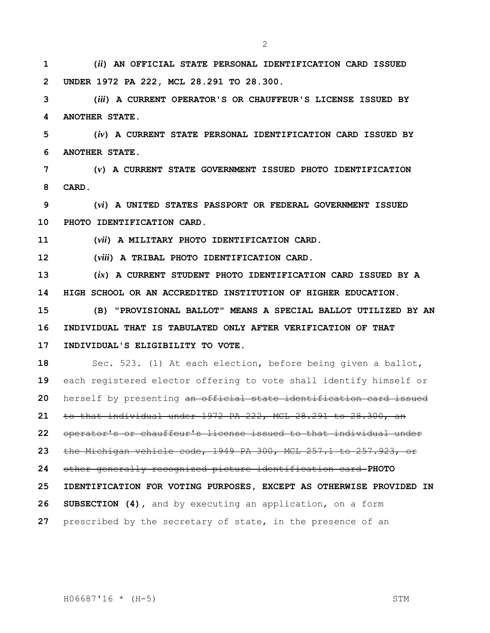**(***ii***) AN OFFICIAL STATE PERSONAL IDENTIFICATION CARD ISSUED UNDER 1972 PA 222, MCL 28.291 TO 28.300.**

 **(***iii***) A CURRENT OPERATOR'S OR CHAUFFEUR'S LICENSE ISSUED BY ANOTHER STATE.**

 **(***iv***) A CURRENT STATE PERSONAL IDENTIFICATION CARD ISSUED BY ANOTHER STATE.**

 **(***v***) A CURRENT STATE GOVERNMENT ISSUED PHOTO IDENTIFICATION CARD.**

 **(***vi***) A UNITED STATES PASSPORT OR FEDERAL GOVERNMENT ISSUED PHOTO IDENTIFICATION CARD.**

**(***vii***) A MILITARY PHOTO IDENTIFICATION CARD.**

**(***viii***) A TRIBAL PHOTO IDENTIFICATION CARD.**

 **(***ix***) A CURRENT STUDENT PHOTO IDENTIFICATION CARD ISSUED BY A HIGH SCHOOL OR AN ACCREDITED INSTITUTION OF HIGHER EDUCATION.**

 **(B) "PROVISIONAL BALLOT" MEANS A SPECIAL BALLOT UTILIZED BY AN INDIVIDUAL THAT IS TABULATED ONLY AFTER VERIFICATION OF THAT INDIVIDUAL'S ELIGIBILITY TO VOTE.**

 Sec. 523. (1) At each election, before being given a ballot, each registered elector offering to vote shall identify himself or herself by presenting an official state identification card issued to that individual under 1972 PA 222, MCL 28.291 to 28.300, an operator's or chauffeur's license issued to that individual under the Michigan vehicle code, 1949 PA 300, MCL 257.1 to 257.923, or other generally recognized picture identification card **PHOTO IDENTIFICATION FOR VOTING PURPOSES, EXCEPT AS OTHERWISE PROVIDED IN SUBSECTION (4),** and by executing an application, on a form prescribed by the secretary of state, in the presence of an

H06687'16 \* (H-5) STM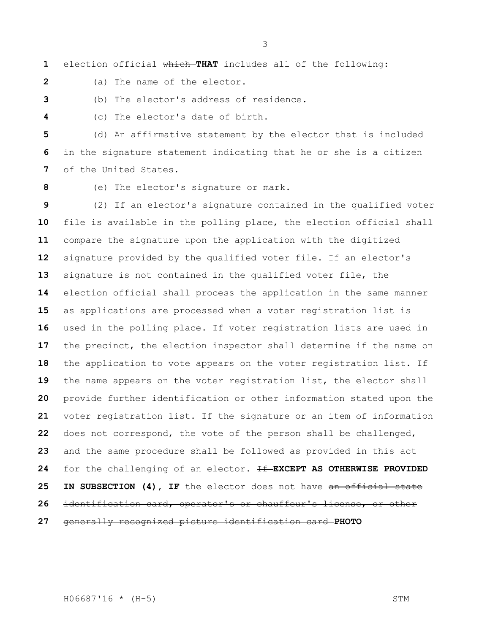election official which **THAT** includes all of the following:

(a) The name of the elector.

(b) The elector's address of residence.

(c) The elector's date of birth.

 (d) An affirmative statement by the elector that is included in the signature statement indicating that he or she is a citizen of the United States.

(e) The elector's signature or mark.

 (2) If an elector's signature contained in the qualified voter file is available in the polling place, the election official shall compare the signature upon the application with the digitized signature provided by the qualified voter file. If an elector's signature is not contained in the qualified voter file, the election official shall process the application in the same manner as applications are processed when a voter registration list is used in the polling place. If voter registration lists are used in the precinct, the election inspector shall determine if the name on the application to vote appears on the voter registration list. If the name appears on the voter registration list, the elector shall provide further identification or other information stated upon the voter registration list. If the signature or an item of information does not correspond, the vote of the person shall be challenged, and the same procedure shall be followed as provided in this act for the challenging of an elector. If **EXCEPT AS OTHERWISE PROVIDED IN SUBSECTION (4), IF** the elector does not have an official state identification card, operator's or chauffeur's license, or other generally recognized picture identification card **PHOTO**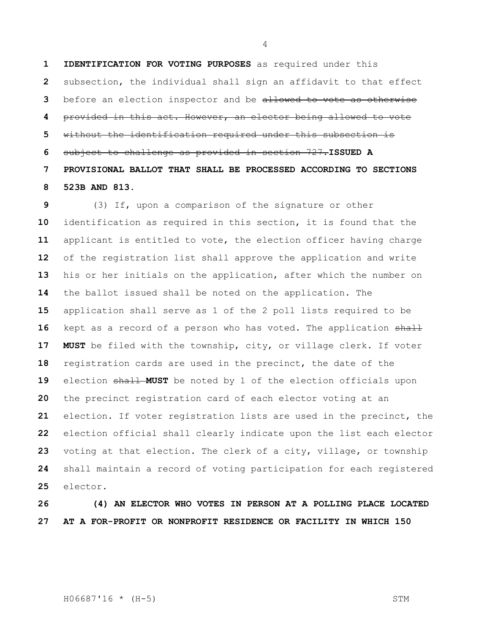**IDENTIFICATION FOR VOTING PURPOSES** as required under this subsection, the individual shall sign an affidavit to that effect before an election inspector and be allowed to vote as otherwise provided in this act. However, an elector being allowed to vote without the identification required under this subsection is subject to challenge as provided in section 727.**ISSUED A PROVISIONAL BALLOT THAT SHALL BE PROCESSED ACCORDING TO SECTIONS 523B AND 813.**

 (3) If, upon a comparison of the signature or other identification as required in this section, it is found that the applicant is entitled to vote, the election officer having charge of the registration list shall approve the application and write his or her initials on the application, after which the number on the ballot issued shall be noted on the application. The application shall serve as 1 of the 2 poll lists required to be 16 kept as a record of a person who has voted. The application shall **MUST** be filed with the township, city, or village clerk. If voter registration cards are used in the precinct, the date of the 19 election shall **MUST** be noted by 1 of the election officials upon the precinct registration card of each elector voting at an election. If voter registration lists are used in the precinct, the election official shall clearly indicate upon the list each elector voting at that election. The clerk of a city, village, or township shall maintain a record of voting participation for each registered elector.

## **(4) AN ELECTOR WHO VOTES IN PERSON AT A POLLING PLACE LOCATED AT A FOR-PROFIT OR NONPROFIT RESIDENCE OR FACILITY IN WHICH 150**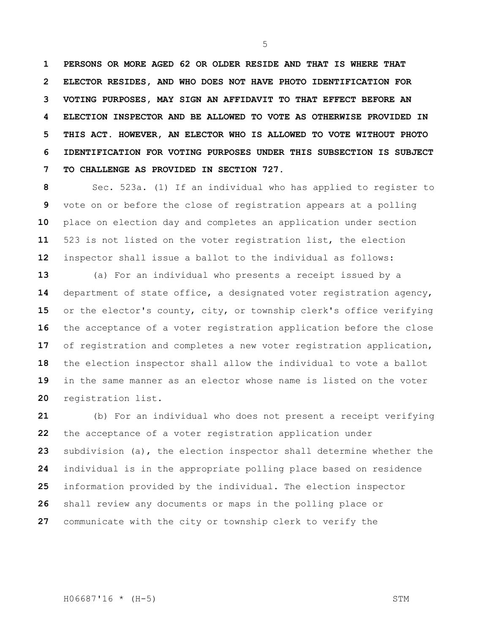**PERSONS OR MORE AGED 62 OR OLDER RESIDE AND THAT IS WHERE THAT ELECTOR RESIDES, AND WHO DOES NOT HAVE PHOTO IDENTIFICATION FOR VOTING PURPOSES, MAY SIGN AN AFFIDAVIT TO THAT EFFECT BEFORE AN ELECTION INSPECTOR AND BE ALLOWED TO VOTE AS OTHERWISE PROVIDED IN THIS ACT. HOWEVER, AN ELECTOR WHO IS ALLOWED TO VOTE WITHOUT PHOTO IDENTIFICATION FOR VOTING PURPOSES UNDER THIS SUBSECTION IS SUBJECT TO CHALLENGE AS PROVIDED IN SECTION 727.**

 Sec. 523a. (1) If an individual who has applied to register to vote on or before the close of registration appears at a polling place on election day and completes an application under section 523 is not listed on the voter registration list, the election inspector shall issue a ballot to the individual as follows:

 (a) For an individual who presents a receipt issued by a department of state office, a designated voter registration agency, or the elector's county, city, or township clerk's office verifying the acceptance of a voter registration application before the close of registration and completes a new voter registration application, the election inspector shall allow the individual to vote a ballot in the same manner as an elector whose name is listed on the voter registration list.

 (b) For an individual who does not present a receipt verifying the acceptance of a voter registration application under subdivision (a), the election inspector shall determine whether the individual is in the appropriate polling place based on residence information provided by the individual. The election inspector shall review any documents or maps in the polling place or communicate with the city or township clerk to verify the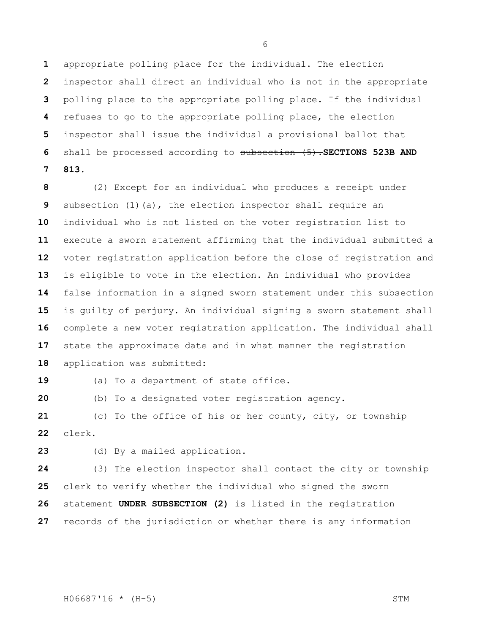appropriate polling place for the individual. The election inspector shall direct an individual who is not in the appropriate polling place to the appropriate polling place. If the individual refuses to go to the appropriate polling place, the election inspector shall issue the individual a provisional ballot that shall be processed according to subsection (5).**SECTIONS 523B AND 813.**

 (2) Except for an individual who produces a receipt under subsection (1)(a), the election inspector shall require an individual who is not listed on the voter registration list to execute a sworn statement affirming that the individual submitted a voter registration application before the close of registration and is eligible to vote in the election. An individual who provides false information in a signed sworn statement under this subsection is guilty of perjury. An individual signing a sworn statement shall complete a new voter registration application. The individual shall state the approximate date and in what manner the registration application was submitted:

19 (a) To a department of state office.

(b) To a designated voter registration agency.

 (c) To the office of his or her county, city, or township clerk.

(d) By a mailed application.

 (3) The election inspector shall contact the city or township clerk to verify whether the individual who signed the sworn statement **UNDER SUBSECTION (2)** is listed in the registration records of the jurisdiction or whether there is any information

H06687'16 \* (H-5) STM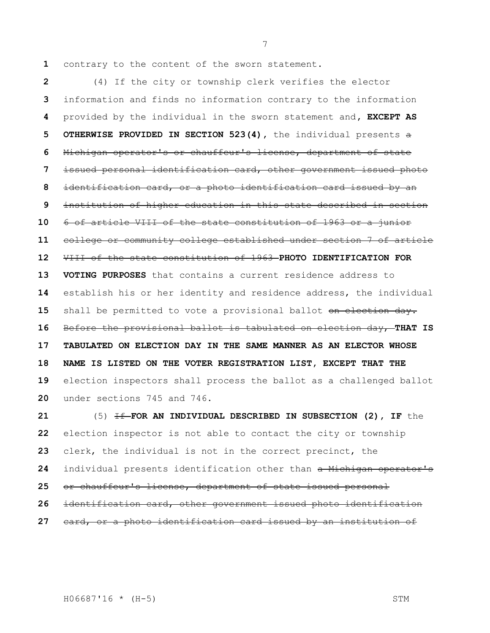contrary to the content of the sworn statement.

 (4) If the city or township clerk verifies the elector information and finds no information contrary to the information provided by the individual in the sworn statement and**, EXCEPT AS OTHERWISE PROVIDED IN SECTION 523(4),** the individual presents a Michigan operator's or chauffeur's license, department of state issued personal identification card, other government issued photo identification card, or a photo identification card issued by an institution of higher education in this state described in section 6 of article VIII of the state constitution of 1963 or a junior college or community college established under section 7 of article VIII of the state constitution of 1963 **PHOTO IDENTIFICATION FOR VOTING PURPOSES** that contains a current residence address to establish his or her identity and residence address, the individual 15 shall be permitted to vote a provisional ballot on election day. Before the provisional ballot is tabulated on election day, **THAT IS TABULATED ON ELECTION DAY IN THE SAME MANNER AS AN ELECTOR WHOSE NAME IS LISTED ON THE VOTER REGISTRATION LIST, EXCEPT THAT THE**  election inspectors shall process the ballot as a challenged ballot under sections 745 and 746.

 (5) **If FOR AN INDIVIDUAL DESCRIBED IN SUBSECTION (2), IF** the election inspector is not able to contact the city or township clerk, the individual is not in the correct precinct, the individual presents identification other than a Michigan operator's or chauffeur's license, department of state issued personal identification card, other government issued photo identification card, or a photo identification card issued by an institution of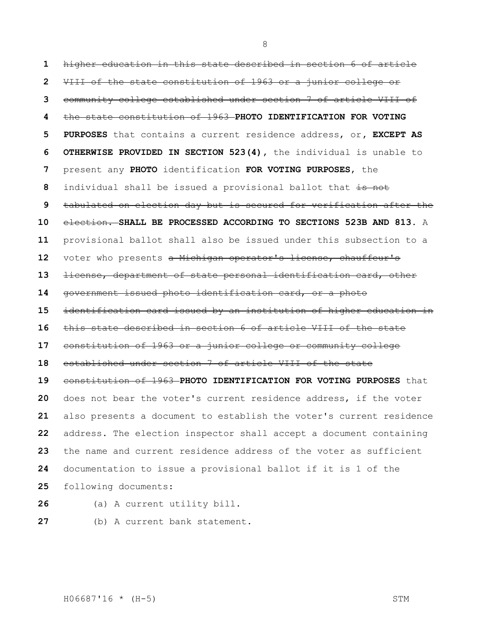higher education in this state described in section 6 of article VIII of the state constitution of 1963 or a junior college or community college established under section 7 of article VIII of the state constitution of 1963 **PHOTO IDENTIFICATION FOR VOTING PURPOSES** that contains a current residence address, or**, EXCEPT AS OTHERWISE PROVIDED IN SECTION 523(4),** the individual is unable to present any **PHOTO** identification **FOR VOTING PURPOSES**, the individual shall be issued a provisional ballot that is not tabulated on election day but is secured for verification after the election. **SHALL BE PROCESSED ACCORDING TO SECTIONS 523B AND 813.** A provisional ballot shall also be issued under this subsection to a 12 voter who presents a Michigan operator's license, chauffeur's license, department of state personal identification card, other government issued photo identification card, or a photo identification card issued by an institution of higher education in this state described in section 6 of article VIII of the state constitution of 1963 or a junior college or community college established under section 7 of article VIII of the state constitution of 1963 **PHOTO IDENTIFICATION FOR VOTING PURPOSES** that does not bear the voter's current residence address, if the voter also presents a document to establish the voter's current residence address. The election inspector shall accept a document containing the name and current residence address of the voter as sufficient documentation to issue a provisional ballot if it is 1 of the following documents:

- (a) A current utility bill.
- (b) A current bank statement.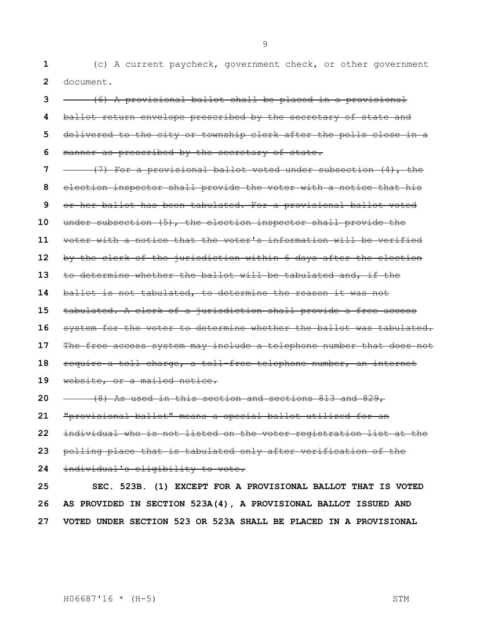(c) A current paycheck, government check, or other government document.

 (6) A provisional ballot shall be placed in a provisional ballot return envelope prescribed by the secretary of state and delivered to the city or township clerk after the polls close in a manner as prescribed by the secretary of state. (7) For a provisional ballot voted under subsection (4), the election inspector shall provide the voter with a notice that his or her ballot has been tabulated. For a provisional ballot voted under subsection (5), the election inspector shall provide the voter with a notice that the voter's information will be verified by the clerk of the jurisdiction within 6 days after the election to determine whether the ballot will be tabulated and, if the ballot is not tabulated, to determine the reason it was not tabulated. A clerk of a jurisdiction shall provide a free access system for the voter to determine whether the ballot was tabulated. The free access system may include a telephone number that does not require a toll charge, a toll-free telephone number, an internet website, or a mailed notice. (8) As used in this section and sections 813 and 829, "provisional ballot" means a special ballot utilized for an individual who is not listed on the voter registration list at the polling place that is tabulated only after verification of the individual's eligibility to vote. **SEC. 523B. (1) EXCEPT FOR A PROVISIONAL BALLOT THAT IS VOTED AS PROVIDED IN SECTION 523A(4), A PROVISIONAL BALLOT ISSUED AND** 

**VOTED UNDER SECTION 523 OR 523A SHALL BE PLACED IN A PROVISIONAL** 

H06687'16 \* (H-5) STM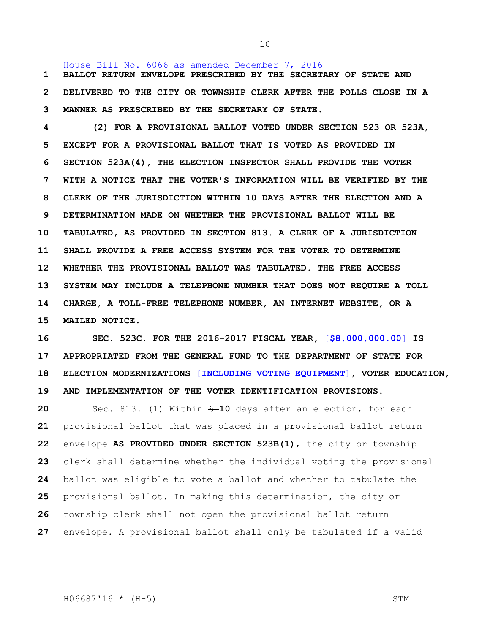House Bill No. 6066 as amended December 7, 2016 **BALLOT RETURN ENVELOPE PRESCRIBED BY THE SECRETARY OF STATE AND DELIVERED TO THE CITY OR TOWNSHIP CLERK AFTER THE POLLS CLOSE IN A MANNER AS PRESCRIBED BY THE SECRETARY OF STATE.**

 **(2) FOR A PROVISIONAL BALLOT VOTED UNDER SECTION 523 OR 523A, EXCEPT FOR A PROVISIONAL BALLOT THAT IS VOTED AS PROVIDED IN SECTION 523A(4), THE ELECTION INSPECTOR SHALL PROVIDE THE VOTER WITH A NOTICE THAT THE VOTER'S INFORMATION WILL BE VERIFIED BY THE CLERK OF THE JURISDICTION WITHIN 10 DAYS AFTER THE ELECTION AND A DETERMINATION MADE ON WHETHER THE PROVISIONAL BALLOT WILL BE TABULATED, AS PROVIDED IN SECTION 813. A CLERK OF A JURISDICTION SHALL PROVIDE A FREE ACCESS SYSTEM FOR THE VOTER TO DETERMINE WHETHER THE PROVISIONAL BALLOT WAS TABULATED. THE FREE ACCESS SYSTEM MAY INCLUDE A TELEPHONE NUMBER THAT DOES NOT REQUIRE A TOLL CHARGE, A TOLL-FREE TELEPHONE NUMBER, AN INTERNET WEBSITE, OR A MAILED NOTICE.**

 **SEC. 523C. FOR THE 2016-2017 FISCAL YEAR,** [**\$8,000,000.00**] **IS APPROPRIATED FROM THE GENERAL FUND TO THE DEPARTMENT OF STATE FOR ELECTION MODERNIZATIONS** [**INCLUDING VOTING EQUIPMENT**]**, VOTER EDUCATION, AND IMPLEMENTATION OF THE VOTER IDENTIFICATION PROVISIONS.**

 Sec. 813. (1) Within 6 **10** days after an election, for each provisional ballot that was placed in a provisional ballot return envelope **AS PROVIDED UNDER SECTION 523B(1)**, the city or township clerk shall determine whether the individual voting the provisional ballot was eligible to vote a ballot and whether to tabulate the provisional ballot. In making this determination, the city or township clerk shall not open the provisional ballot return envelope. A provisional ballot shall only be tabulated if a valid

H06687'16 \* (H-5) STM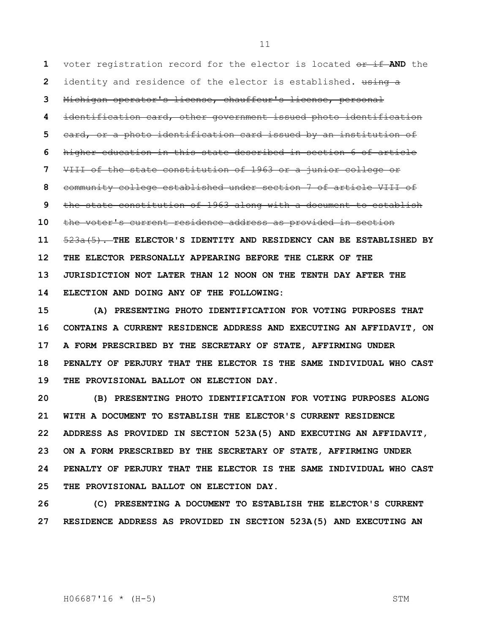voter registration record for the elector is located or if AND the identity and residence of the elector is established**.** using a Michigan operator's license, chauffeur's license, personal identification card, other government issued photo identification card, or a photo identification card issued by an institution of higher education in this state described in section 6 of article VIII of the state constitution of 1963 or a junior college or community college established under section 7 of article VIII of the state constitution of 1963 along with a document to establish the voter's current residence address as provided in section 523a(5). **THE ELECTOR'S IDENTITY AND RESIDENCY CAN BE ESTABLISHED BY THE ELECTOR PERSONALLY APPEARING BEFORE THE CLERK OF THE JURISDICTION NOT LATER THAN 12 NOON ON THE TENTH DAY AFTER THE ELECTION AND DOING ANY OF THE FOLLOWING:**

 **(A) PRESENTING PHOTO IDENTIFICATION FOR VOTING PURPOSES THAT CONTAINS A CURRENT RESIDENCE ADDRESS AND EXECUTING AN AFFIDAVIT, ON A FORM PRESCRIBED BY THE SECRETARY OF STATE, AFFIRMING UNDER PENALTY OF PERJURY THAT THE ELECTOR IS THE SAME INDIVIDUAL WHO CAST THE PROVISIONAL BALLOT ON ELECTION DAY.**

 **(B) PRESENTING PHOTO IDENTIFICATION FOR VOTING PURPOSES ALONG WITH A DOCUMENT TO ESTABLISH THE ELECTOR'S CURRENT RESIDENCE ADDRESS AS PROVIDED IN SECTION 523A(5) AND EXECUTING AN AFFIDAVIT, ON A FORM PRESCRIBED BY THE SECRETARY OF STATE, AFFIRMING UNDER PENALTY OF PERJURY THAT THE ELECTOR IS THE SAME INDIVIDUAL WHO CAST THE PROVISIONAL BALLOT ON ELECTION DAY.**

 **(C) PRESENTING A DOCUMENT TO ESTABLISH THE ELECTOR'S CURRENT RESIDENCE ADDRESS AS PROVIDED IN SECTION 523A(5) AND EXECUTING AN** 

H06687'16 \* (H-5) STM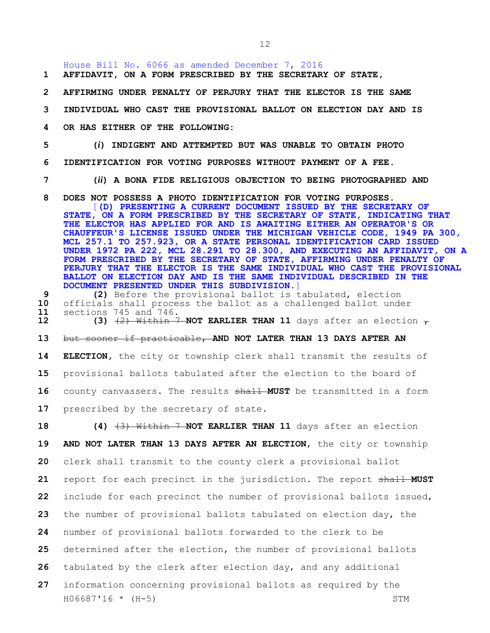House Bill No. 6066 as amended December 7, 2016

**1 AFFIDAVIT, ON A FORM PRESCRIBED BY THE SECRETARY OF STATE,** 

- **2 AFFIRMING UNDER PENALTY OF PERJURY THAT THE ELECTOR IS THE SAME**
- **3 INDIVIDUAL WHO CAST THE PROVISIONAL BALLOT ON ELECTION DAY AND IS**
- **4 OR HAS EITHER OF THE FOLLOWING:**
- **5 (***i***) INDIGENT AND ATTEMPTED BUT WAS UNABLE TO OBTAIN PHOTO**

**6 IDENTIFICATION FOR VOTING PURPOSES WITHOUT PAYMENT OF A FEE.**

**7 (***ii***) A BONA FIDE RELIGIOUS OBJECTION TO BEING PHOTOGRAPHED AND** 

- **8 DOES NOT POSSESS A PHOTO IDENTIFICATION FOR VOTING PURPOSES.** [**(D) PRESENTING A CURRENT DOCUMENT ISSUED BY THE SECRETARY OF STATE, ON A FORM PRESCRIBED BY THE SECRETARY OF STATE, INDICATING THAT THE ELECTOR HAS APPLIED FOR AND IS AWAITING EITHER AN OPERATOR'S OR CHAUFFEUR'S LICENSE ISSUED UNDER THE MICHIGAN VEHICLE CODE, 1949 PA 300, MCL 257.1 TO 257.923, OR A STATE PERSONAL IDENTIFICATION CARD ISSUED UNDER 1972 PA 222, MCL 28.291 TO 28.300, AND EXECUTING AN AFFIDAVIT, ON A FORM PRESCRIBED BY THE SECRETARY OF STATE, AFFIRMING UNDER PENALTY OF PERJURY THAT THE ELECTOR IS THE SAME INDIVIDUAL WHO CAST THE PROVISIONAL BALLOT ON ELECTION DAY AND IS THE SAME INDIVIDUAL DESCRIBED IN THE DOCUMENT PRESENTED UNDER THIS SUBDIVISION.**]
- **9 (2)** Before the provisional ballot is tabulated, election **10** officials shall process the ballot as a challenged ballot under **11** sections 745 and 746.<br>**12 (3)** <del>(2) Within 7</del>
	- **12 12** Within 7 NOT EARLIER THAN 11 days after an election  $\tau$

**13** but sooner if practicable, **AND NOT LATER THAN 13 DAYS AFTER AN** 

**14 ELECTION,** the city or township clerk shall transmit the results of **15** provisional ballots tabulated after the election to the board of 16 county canvassers. The results  $\frac{11}{100}$  MUST be transmitted in a form 17 prescribed by the secretary of state.

H06687'16 \* (H-5) STM **(4)** (3) Within 7 **NOT EARLIER THAN 11** days after an election **AND NOT LATER THAN 13 DAYS AFTER AN ELECTION**, the city or township clerk shall transmit to the county clerk a provisional ballot report for each precinct in the jurisdiction. The report shall **MUST**  include for each precinct the number of provisional ballots issued, the number of provisional ballots tabulated on election day, the number of provisional ballots forwarded to the clerk to be determined after the election, the number of provisional ballots tabulated by the clerk after election day, and any additional information concerning provisional ballots as required by the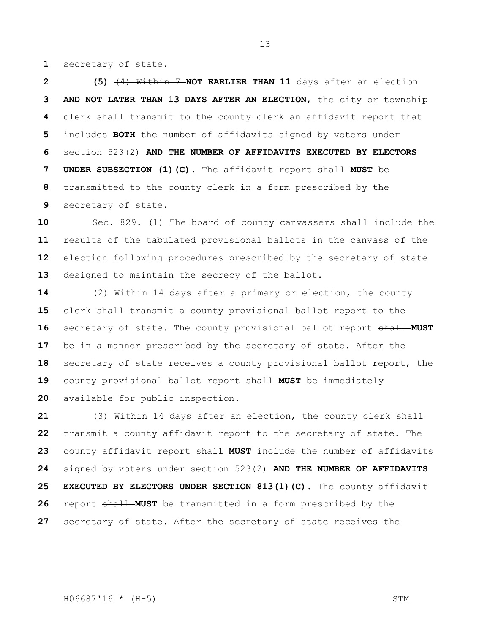secretary of state.

 **(5)** (4) Within 7 **NOT EARLIER THAN 11** days after an election **AND NOT LATER THAN 13 DAYS AFTER AN ELECTION**, the city or township clerk shall transmit to the county clerk an affidavit report that includes **BOTH** the number of affidavits signed by voters under section 523(2) **AND THE NUMBER OF AFFIDAVITS EXECUTED BY ELECTORS UNDER SUBSECTION (1)(C)**. The affidavit report shall **MUST** be transmitted to the county clerk in a form prescribed by the secretary of state.

 Sec. 829. (1) The board of county canvassers shall include the results of the tabulated provisional ballots in the canvass of the election following procedures prescribed by the secretary of state designed to maintain the secrecy of the ballot.

 (2) Within 14 days after a primary or election, the county clerk shall transmit a county provisional ballot report to the secretary of state. The county provisional ballot report shall **MUST**  be in a manner prescribed by the secretary of state. After the secretary of state receives a county provisional ballot report, the county provisional ballot report shall **MUST** be immediately available for public inspection.

 (3) Within 14 days after an election, the county clerk shall transmit a county affidavit report to the secretary of state. The county affidavit report shall **MUST** include the number of affidavits signed by voters under section 523(2) **AND THE NUMBER OF AFFIDAVITS EXECUTED BY ELECTORS UNDER SECTION 813(1)(C)**. The county affidavit report shall **MUST** be transmitted in a form prescribed by the secretary of state. After the secretary of state receives the

H06687'16 \* (H-5) STM